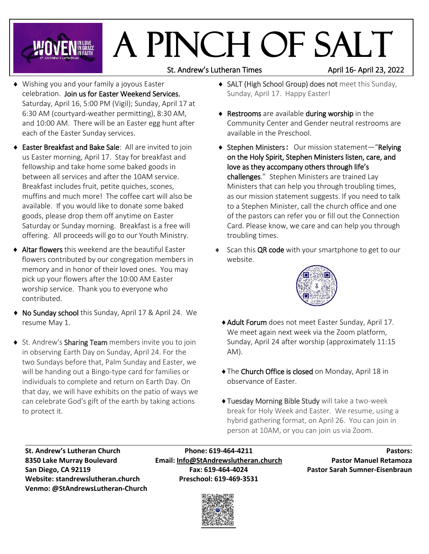# A Pinch of Salt

St. Andrew's Lutheran Times April 16- April 23, 2022

- Wishing you and your family a joyous Easter celebration. Join us for Easter Weekend Services, Saturday, April 16, 5:00 PM (Vigil); Sunday, April 17 at 6:30 AM (courtyard-weather permitting), 8:30 AM, and 10:00 AM. There will be an Easter egg hunt after each of the Easter Sunday services.
- Easter Breakfast and Bake Sale: All are invited to join us Easter morning, April 17. Stay for breakfast and fellowship and take home some baked goods in between all services and after the 10AM service. Breakfast includes fruit, petite quiches, scones, muffins and much more! The coffee cart will also be available. If you would like to donate some baked goods, please drop them off anytime on Easter Saturday or Sunday morning. Breakfast is a free will offering. All proceeds will go to our Youth Ministry.
- Altar flowers this weekend are the beautiful Easter flowers contributed by our congregation members in memory and in honor of their loved ones. You may pick up your flowers after the 10:00 AM Easter worship service. Thank you to everyone who contributed.
- ◆ No Sunday school this Sunday, April 17 & April 24. We resume May 1.
- ◆ St. Andrew's Sharing Team members invite you to join in observing Earth Day on Sunday, April 24. For the two Sundays before that, Palm Sunday and Easter, we will be handing out a Bingo-type card for families or individuals to complete and return on Earth Day. On that day, we will have exhibits on the patio of ways we can celebrate God's gift of the earth by taking actions to protect it.
- SALT (High School Group) does not meet this Sunday, Sunday, April 17. Happy Easter!
- **A** Restrooms are available during worship in the Community Center and Gender neutral restrooms are available in the Preschool.
- ◆ Stephen Ministers: Our mission statement-"Relying on the Holy Spirit, Stephen Ministers listen, care, and love as they accompany others through life's challenges." Stephen Ministers are trained Lay Ministers that can help you through troubling times, as our mission statement suggests. If you need to talk to a Stephen Minister, call the church office and one of the pastors can refer you or fill out the Connection Card. Please know, we care and can help you through troubling times.
- Scan this QR code with your smartphone to get to our website.



- Adult Forum does not meet Easter Sunday, April 17. We meet again next week via the Zoom platform, Sunday, April 24 after worship (approximately 11:15 AM).
- The Church Office is closed on Monday, April 18 in observance of Easter.
- Tuesday Morning Bible Study will take a two-week break for Holy Week and Easter. We resume, using a hybrid gathering format, on April 26. You can join in person at 10AM, or you can join us via Zoom.

**Website: standrewslutheran.church Preschool: 619-469-3531 Venmo: @StAndrewsLutheran-Church**

**St. Andrew's Lutheran Church Phone: 619-464-4211 Pastors: 8350 Lake Murray Boulevard Email: [Info@StAndrewslutheran.church](mailto:Info@StAndrewslutheran.church) Pastor Manuel Retamoza San Diego, CA 92119 Fax: 619-464-4024 Pastor Sarah Sumner-Eisenbraun**